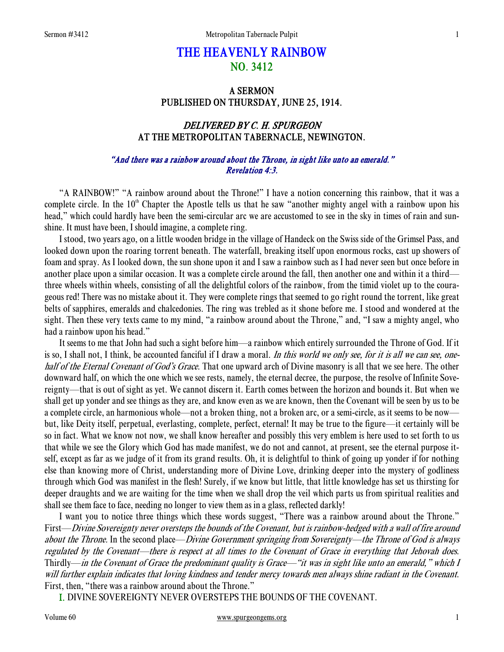# THE HEAVENLY RAINBOW NO. 3412

### A SERMON PUBLISHED ON THURSDAY, JUNE 25, 1914.

# DELIVERED BY C. H. SPURGEON AT THE METROPOLITAN TABERNACLE, NEWINGTON.

#### "And there was a rainbow around about the Throne, in sight like unto an emerald." Revelation 4:3.

 "A RAINBOW!" "A rainbow around about the Throne!" I have a notion concerning this rainbow, that it was a complete circle. In the  $10<sup>th</sup>$  Chapter the Apostle tells us that he saw "another mighty angel with a rainbow upon his head," which could hardly have been the semi-circular arc we are accustomed to see in the sky in times of rain and sunshine. It must have been, I should imagine, a complete ring.

 I stood, two years ago, on a little wooden bridge in the village of Handeck on the Swiss side of the Grimsel Pass, and looked down upon the roaring torrent beneath. The waterfall, breaking itself upon enormous rocks, cast up showers of foam and spray. As I looked down, the sun shone upon it and I saw a rainbow such as I had never seen but once before in another place upon a similar occasion. It was a complete circle around the fall, then another one and within it a third three wheels within wheels, consisting of all the delightful colors of the rainbow, from the timid violet up to the courageous red! There was no mistake about it. They were complete rings that seemed to go right round the torrent, like great belts of sapphires, emeralds and chalcedonies. The ring was trebled as it shone before me. I stood and wondered at the sight. Then these very texts came to my mind, "a rainbow around about the Throne," and, "I saw a mighty angel, who had a rainbow upon his head."

 It seems to me that John had such a sight before him—a rainbow which entirely surrounded the Throne of God. If it is so, I shall not, I think, be accounted fanciful if I draw a moral. In this world we only see, for it is all we can see, onehalf of the Eternal Covenant of God's Grace. That one upward arch of Divine masonry is all that we see here. The other downward half, on which the one which we see rests, namely, the eternal decree, the purpose, the resolve of Infinite Sovereignty—that is out of sight as yet. We cannot discern it. Earth comes between the horizon and bounds it. But when we shall get up yonder and see things as they are, and know even as we are known, then the Covenant will be seen by us to be a complete circle, an harmonious whole—not a broken thing, not a broken arc, or a semi-circle, as it seems to be now but, like Deity itself, perpetual, everlasting, complete, perfect, eternal! It may be true to the figure—it certainly will be so in fact. What we know not now, we shall know hereafter and possibly this very emblem is here used to set forth to us that while we see the Glory which God has made manifest, we do not and cannot, at present, see the eternal purpose itself, except as far as we judge of it from its grand results. Oh, it is delightful to think of going up yonder if for nothing else than knowing more of Christ, understanding more of Divine Love, drinking deeper into the mystery of godliness through which God was manifest in the flesh! Surely, if we know but little, that little knowledge has set us thirsting for deeper draughts and we are waiting for the time when we shall drop the veil which parts us from spiritual realities and shall see them face to face, needing no longer to view them as in a glass, reflected darkly!

 I want you to notice three things which these words suggest, "There was a rainbow around about the Throne." First—Divine Sovereignty never oversteps the bounds of the Covenant, but is rainbow-hedged with a wall of fire around about the Throne. In the second place—Divine Government springing from Sovereignty—the Throne of God is always regulated by the Covenant—there is respect at all times to the Covenant of Grace in everything that Jehovah does. Thirdly—in the Covenant of Grace the predominant quality is Grace—"it was in sight like unto an emerald," which I will further explain indicates that loving kindness and tender mercy towards men always shine radiant in the Covenant. First, then, "there was a rainbow around about the Throne."

I. DIVINE SOVEREIGNTY NEVER OVERSTEPS THE BOUNDS OF THE COVENANT.

Volume 60 www.spurgeongems.org 1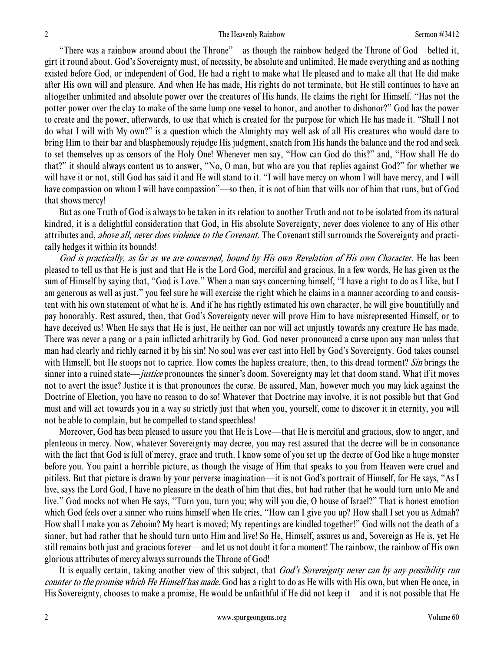"There was a rainbow around about the Throne"—as though the rainbow hedged the Throne of God—belted it, girt it round about. God's Sovereignty must, of necessity, be absolute and unlimited. He made everything and as nothing existed before God, or independent of God, He had a right to make what He pleased and to make all that He did make after His own will and pleasure. And when He has made, His rights do not terminate, but He still continues to have an altogether unlimited and absolute power over the creatures of His hands. He claims the right for Himself. "Has not the potter power over the clay to make of the same lump one vessel to honor, and another to dishonor?" God has the power to create and the power, afterwards, to use that which is created for the purpose for which He has made it. "Shall I not do what I will with My own?" is a question which the Almighty may well ask of all His creatures who would dare to bring Him to their bar and blasphemously rejudge His judgment, snatch from His hands the balance and the rod and seek to set themselves up as censors of the Holy One! Whenever men say, "How can God do this?" and, "How shall He do that?" it should always content us to answer, "No, O man, but who are you that replies against God?" for whether we will have it or not, still God has said it and He will stand to it. "I will have mercy on whom I will have mercy, and I will have compassion on whom I will have compassion"—so then, it is not of him that wills nor of him that runs, but of God that shows mercy!

 But as one Truth of God is always to be taken in its relation to another Truth and not to be isolated from its natural kindred, it is a delightful consideration that God, in His absolute Sovereignty, never does violence to any of His other attributes and, *above all, never does violence to the Covenant*. The Covenant still surrounds the Sovereignty and practically hedges it within its bounds!

God is practically, as far as we are concerned, bound by His own Revelation of His own Character. He has been pleased to tell us that He is just and that He is the Lord God, merciful and gracious. In a few words, He has given us the sum of Himself by saying that, "God is Love." When a man says concerning himself, "I have a right to do as I like, but I am generous as well as just," you feel sure he will exercise the right which he claims in a manner according to and consistent with his own statement of what he is. And if he has rightly estimated his own character, he will give bountifully and pay honorably. Rest assured, then, that God's Sovereignty never will prove Him to have misrepresented Himself, or to have deceived us! When He says that He is just, He neither can nor will act unjustly towards any creature He has made. There was never a pang or a pain inflicted arbitrarily by God. God never pronounced a curse upon any man unless that man had clearly and richly earned it by his sin! No soul was ever cast into Hell by God's Sovereignty. God takes counsel with Himself, but He stoops not to caprice. How comes the hapless creature, then, to this dread torment? Sin brings the sinner into a ruined state—*justice* pronounces the sinner's doom. Sovereignty may let that doom stand. What if it moves not to avert the issue? Justice it is that pronounces the curse. Be assured, Man, however much you may kick against the Doctrine of Election, you have no reason to do so! Whatever that Doctrine may involve, it is not possible but that God must and will act towards you in a way so strictly just that when you, yourself, come to discover it in eternity, you will not be able to complain, but be compelled to stand speechless!

 Moreover, God has been pleased to assure you that He is Love—that He is merciful and gracious, slow to anger, and plenteous in mercy. Now, whatever Sovereignty may decree, you may rest assured that the decree will be in consonance with the fact that God is full of mercy, grace and truth. I know some of you set up the decree of God like a huge monster before you. You paint a horrible picture, as though the visage of Him that speaks to you from Heaven were cruel and pitiless. But that picture is drawn by your perverse imagination—it is not God's portrait of Himself, for He says, "As I live, says the Lord God, I have no pleasure in the death of him that dies, but had rather that he would turn unto Me and live." God mocks not when He says, "Turn you, turn you; why will you die, O house of Israel?" That is honest emotion which God feels over a sinner who ruins himself when He cries, "How can I give you up? How shall I set you as Admah? How shall I make you as Zeboim? My heart is moved; My repentings are kindled together!" God wills not the death of a sinner, but had rather that he should turn unto Him and live! So He, Himself, assures us and, Sovereign as He is, yet He still remains both just and gracious forever—and let us not doubt it for a moment! The rainbow, the rainbow of His own glorious attributes of mercy always surrounds the Throne of God!

It is equally certain, taking another view of this subject, that God's Sovereignty never can by any possibility run counter to the promise which He Himself has made. God has a right to do as He wills with His own, but when He once, in His Sovereignty, chooses to make a promise, He would be unfaithful if He did not keep it—and it is not possible that He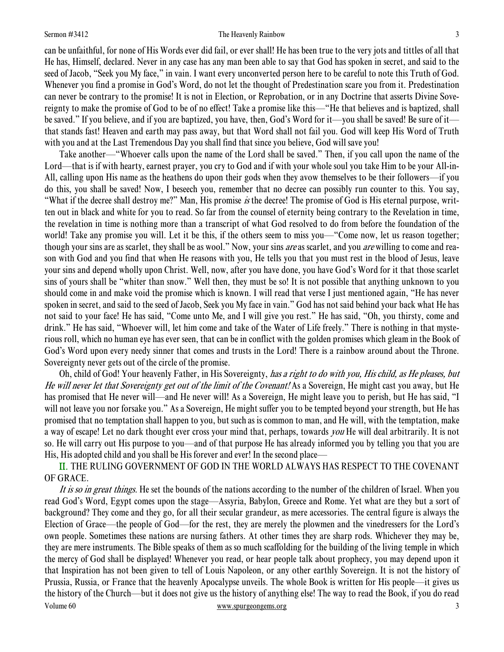#### Sermon #3412 **Sermon #3412** The Heavenly Rainbow 3

can be unfaithful, for none of His Words ever did fail, or ever shall! He has been true to the very jots and tittles of all that He has, Himself, declared. Never in any case has any man been able to say that God has spoken in secret, and said to the seed of Jacob, "Seek you My face," in vain. I want every unconverted person here to be careful to note this Truth of God. Whenever you find a promise in God's Word, do not let the thought of Predestination scare you from it. Predestination can never be contrary to the promise! It is not in Election, or Reprobation, or in any Doctrine that asserts Divine Sovereignty to make the promise of God to be of no effect! Take a promise like this—"He that believes and is baptized, shall be saved." If you believe, and if you are baptized, you have, then, God's Word for it—you shall be saved! Be sure of it that stands fast! Heaven and earth may pass away, but that Word shall not fail you. God will keep His Word of Truth with you and at the Last Tremendous Day you shall find that since you believe, God will save you!

 Take another—"Whoever calls upon the name of the Lord shall be saved." Then, if you call upon the name of the Lord—that is if with hearty, earnest prayer, you cry to God and if with your whole soul you take Him to be your All-in-All, calling upon His name as the heathens do upon their gods when they avow themselves to be their followers—if you do this, you shall be saved! Now, I beseech you, remember that no decree can possibly run counter to this. You say, "What if the decree shall destroy me?" Man, His promise is the decree! The promise of God is His eternal purpose, written out in black and white for you to read. So far from the counsel of eternity being contrary to the Revelation in time, the revelation in time is nothing more than a transcript of what God resolved to do from before the foundation of the world! Take any promise you will. Let it be this, if the others seem to miss you—"Come now, let us reason together; though your sins are as scarlet, they shall be as wool." Now, your sins *are* as scarlet, and you *are* willing to come and reason with God and you find that when He reasons with you, He tells you that you must rest in the blood of Jesus, leave your sins and depend wholly upon Christ. Well, now, after you have done, you have God's Word for it that those scarlet sins of yours shall be "whiter than snow." Well then, they must be so! It is not possible that anything unknown to you should come in and make void the promise which is known. I will read that verse I just mentioned again, "He has never spoken in secret, and said to the seed of Jacob, Seek you My face in vain." God has not said behind your back what He has not said to your face! He has said, "Come unto Me, and I will give you rest." He has said, "Oh, you thirsty, come and drink." He has said, "Whoever will, let him come and take of the Water of Life freely." There is nothing in that mysterious roll, which no human eye has ever seen, that can be in conflict with the golden promises which gleam in the Book of God's Word upon every needy sinner that comes and trusts in the Lord! There is a rainbow around about the Throne. Sovereignty never gets out of the circle of the promise.

Oh, child of God! Your heavenly Father, in His Sovereignty, has a right to do with you, His child, as He pleases, but He will never let that Sovereignty get out of the limit of the Covenant! As a Sovereign, He might cast you away, but He has promised that He never will—and He never will! As a Sovereign, He might leave you to perish, but He has said, "I will not leave you nor forsake you." As a Sovereign, He might suffer you to be tempted beyond your strength, but He has promised that no temptation shall happen to you, but such as is common to man, and He will, with the temptation, make a way of escape! Let no dark thought ever cross your mind that, perhaps, towards *you* He will deal arbitrarily. It is not so. He will carry out His purpose to you—and of that purpose He has already informed you by telling you that you are His, His adopted child and you shall be His forever and ever! In the second place—

 II. THE RULING GOVERNMENT OF GOD IN THE WORLD ALWAYS HAS RESPECT TO THE COVENANT OF GRACE.

Volume 60 www.spurgeongems.org 3 It is so in great things. He set the bounds of the nations according to the number of the children of Israel. When you read God's Word, Egypt comes upon the stage—Assyria, Babylon, Greece and Rome. Yet what are they but a sort of background? They come and they go, for all their secular grandeur, as mere accessories. The central figure is always the Election of Grace—the people of God—for the rest, they are merely the plowmen and the vinedressers for the Lord's own people. Sometimes these nations are nursing fathers. At other times they are sharp rods. Whichever they may be, they are mere instruments. The Bible speaks of them as so much scaffolding for the building of the living temple in which the mercy of God shall be displayed! Whenever you read, or hear people talk about prophecy, you may depend upon it that Inspiration has not been given to tell of Louis Napoleon, or any other earthly Sovereign. It is not the history of Prussia, Russia, or France that the heavenly Apocalypse unveils. The whole Book is written for His people—it gives us the history of the Church—but it does not give us the history of anything else! The way to read the Book, if you do read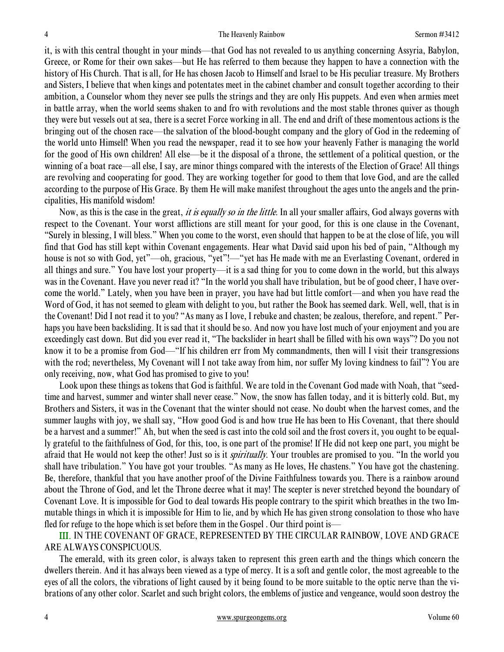it, is with this central thought in your minds—that God has not revealed to us anything concerning Assyria, Babylon, Greece, or Rome for their own sakes—but He has referred to them because they happen to have a connection with the history of His Church. That is all, for He has chosen Jacob to Himself and Israel to be His peculiar treasure. My Brothers and Sisters, I believe that when kings and potentates meet in the cabinet chamber and consult together according to their ambition, a Counselor whom they never see pulls the strings and they are only His puppets. And even when armies meet in battle array, when the world seems shaken to and fro with revolutions and the most stable thrones quiver as though they were but vessels out at sea, there is a secret Force working in all. The end and drift of these momentous actions is the bringing out of the chosen race—the salvation of the blood-bought company and the glory of God in the redeeming of the world unto Himself! When you read the newspaper, read it to see how your heavenly Father is managing the world for the good of His own children! All else—be it the disposal of a throne, the settlement of a political question, or the winning of a boat race—all else, I say, are minor things compared with the interests of the Election of Grace! All things are revolving and cooperating for good. They are working together for good to them that love God, and are the called according to the purpose of His Grace. By them He will make manifest throughout the ages unto the angels and the principalities, His manifold wisdom!

Now, as this is the case in the great, *it is equally so in the little*. In all your smaller affairs, God always governs with respect to the Covenant. Your worst afflictions are still meant for your good, for this is one clause in the Covenant, "Surely in blessing, I will bless." When you come to the worst, even should that happen to be at the close of life, you will find that God has still kept within Covenant engagements. Hear what David said upon his bed of pain, "Although my house is not so with God, yet"—oh, gracious, "yet"!—"yet has He made with me an Everlasting Covenant, ordered in all things and sure." You have lost your property—it is a sad thing for you to come down in the world, but this always was in the Covenant. Have you never read it? "In the world you shall have tribulation, but be of good cheer, I have overcome the world." Lately, when you have been in prayer, you have had but little comfort—and when you have read the Word of God, it has not seemed to gleam with delight to you, but rather the Book has seemed dark. Well, well, that is in the Covenant! Did I not read it to you? "As many as I love, I rebuke and chasten; be zealous, therefore, and repent." Perhaps you have been backsliding. It is sad that it should be so. And now you have lost much of your enjoyment and you are exceedingly cast down. But did you ever read it, "The backslider in heart shall be filled with his own ways"? Do you not know it to be a promise from God—"If his children err from My commandments, then will I visit their transgressions with the rod; nevertheless, My Covenant will I not take away from him, nor suffer My loving kindness to fail"? You are only receiving, now, what God has promised to give to you!

 Look upon these things as tokens that God is faithful. We are told in the Covenant God made with Noah, that "seedtime and harvest, summer and winter shall never cease." Now, the snow has fallen today, and it is bitterly cold. But, my Brothers and Sisters, it was in the Covenant that the winter should not cease. No doubt when the harvest comes, and the summer laughs with joy, we shall say, "How good God is and how true He has been to His Covenant, that there should be a harvest and a summer!" Ah, but when the seed is cast into the cold soil and the frost covers it, you ought to be equally grateful to the faithfulness of God, for this, too, is one part of the promise! If He did not keep one part, you might be afraid that He would not keep the other! Just so is it *spiritually*. Your troubles are promised to you. "In the world you shall have tribulation." You have got your troubles. "As many as He loves, He chastens." You have got the chastening. Be, therefore, thankful that you have another proof of the Divine Faithfulness towards you. There is a rainbow around about the Throne of God, and let the Throne decree what it may! The scepter is never stretched beyond the boundary of Covenant Love. It is impossible for God to deal towards His people contrary to the spirit which breathes in the two Immutable things in which it is impossible for Him to lie, and by which He has given strong consolation to those who have fled for refuge to the hope which is set before them in the Gospel. Our third point is—

III. IN THE COVENANT OF GRACE, REPRESENTED BY THE CIRCULAR RAINBOW, LOVE AND GRACE ARE ALWAYS CONSPICUOUS.

 The emerald, with its green color, is always taken to represent this green earth and the things which concern the dwellers therein. And it has always been viewed as a type of mercy. It is a soft and gentle color, the most agreeable to the eyes of all the colors, the vibrations of light caused by it being found to be more suitable to the optic nerve than the vibrations of any other color. Scarlet and such bright colors, the emblems of justice and vengeance, would soon destroy the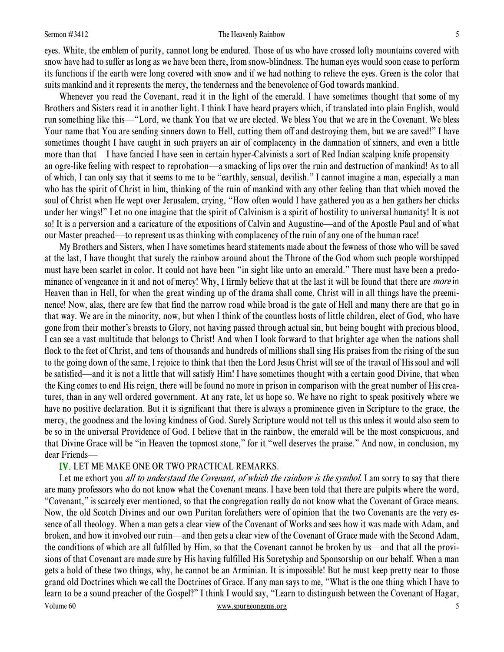#### Sermon #3412 **Sermon #3412** The Heavenly Rainbow 5

eyes. White, the emblem of purity, cannot long be endured. Those of us who have crossed lofty mountains covered with snow have had to suffer as long as we have been there, from snow-blindness. The human eyes would soon cease to perform its functions if the earth were long covered with snow and if we had nothing to relieve the eyes. Green is the color that suits mankind and it represents the mercy, the tenderness and the benevolence of God towards mankind.

 Whenever you read the Covenant, read it in the light of the emerald. I have sometimes thought that some of my Brothers and Sisters read it in another light. I think I have heard prayers which, if translated into plain English, would run something like this—"Lord, we thank You that we are elected. We bless You that we are in the Covenant. We bless Your name that You are sending sinners down to Hell, cutting them off and destroying them, but we are saved!" I have sometimes thought I have caught in such prayers an air of complacency in the damnation of sinners, and even a little more than that—I have fancied I have seen in certain hyper-Calvinists a sort of Red Indian scalping knife propensity an ogre-like feeling with respect to reprobation—a smacking of lips over the ruin and destruction of mankind! As to all of which, I can only say that it seems to me to be "earthly, sensual, devilish." I cannot imagine a man, especially a man who has the spirit of Christ in him, thinking of the ruin of mankind with any other feeling than that which moved the soul of Christ when He wept over Jerusalem, crying, "How often would I have gathered you as a hen gathers her chicks under her wings!" Let no one imagine that the spirit of Calvinism is a spirit of hostility to universal humanity! It is not so! It is a perversion and a caricature of the expositions of Calvin and Augustine—and of the Apostle Paul and of what our Master preached—to represent us as thinking with complacency of the ruin of any one of the human race!

 My Brothers and Sisters, when I have sometimes heard statements made about the fewness of those who will be saved at the last, I have thought that surely the rainbow around about the Throne of the God whom such people worshipped must have been scarlet in color. It could not have been "in sight like unto an emerald." There must have been a predominance of vengeance in it and not of mercy! Why, I firmly believe that at the last it will be found that there are *more* in Heaven than in Hell, for when the great winding up of the drama shall come, Christ will in all things have the preeminence! Now, alas, there are few that find the narrow road while broad is the gate of Hell and many there are that go in that way. We are in the minority, now, but when I think of the countless hosts of little children, elect of God, who have gone from their mother's breasts to Glory, not having passed through actual sin, but being bought with precious blood, I can see a vast multitude that belongs to Christ! And when I look forward to that brighter age when the nations shall flock to the feet of Christ, and tens of thousands and hundreds of millions shall sing His praises from the rising of the sun to the going down of the same, I rejoice to think that then the Lord Jesus Christ will see of the travail of His soul and will be satisfied—and it is not a little that will satisfy Him! I have sometimes thought with a certain good Divine, that when the King comes to end His reign, there will be found no more in prison in comparison with the great number of His creatures, than in any well ordered government. At any rate, let us hope so. We have no right to speak positively where we have no positive declaration. But it is significant that there is always a prominence given in Scripture to the grace, the mercy, the goodness and the loving kindness of God. Surely Scripture would not tell us this unless it would also seem to be so in the universal Providence of God. I believe that in the rainbow, the emerald will be the most conspicuous, and that Divine Grace will be "in Heaven the topmost stone," for it "well deserves the praise." And now, in conclusion, my dear Friends—

### IV. LET ME MAKE ONE OR TWO PRACTICAL REMARKS.

Volume 60 www.spurgeongems.org 5 Let me exhort you *all to understand the Covenant, of which the rainbow is the symbol*. I am sorry to say that there are many professors who do not know what the Covenant means. I have been told that there are pulpits where the word, "Covenant," is scarcely ever mentioned, so that the congregation really do not know what the Covenant of Grace means. Now, the old Scotch Divines and our own Puritan forefathers were of opinion that the two Covenants are the very essence of all theology. When a man gets a clear view of the Covenant of Works and sees how it was made with Adam, and broken, and how it involved our ruin—and then gets a clear view of the Covenant of Grace made with the Second Adam, the conditions of which are all fulfilled by Him, so that the Covenant cannot be broken by us—and that all the provisions of that Covenant are made sure by His having fulfilled His Suretyship and Sponsorship on our behalf. When a man gets a hold of these two things, why, he cannot be an Arminian. It is impossible! But he must keep pretty near to those grand old Doctrines which we call the Doctrines of Grace. If any man says to me, "What is the one thing which I have to learn to be a sound preacher of the Gospel?" I think I would say, "Learn to distinguish between the Covenant of Hagar,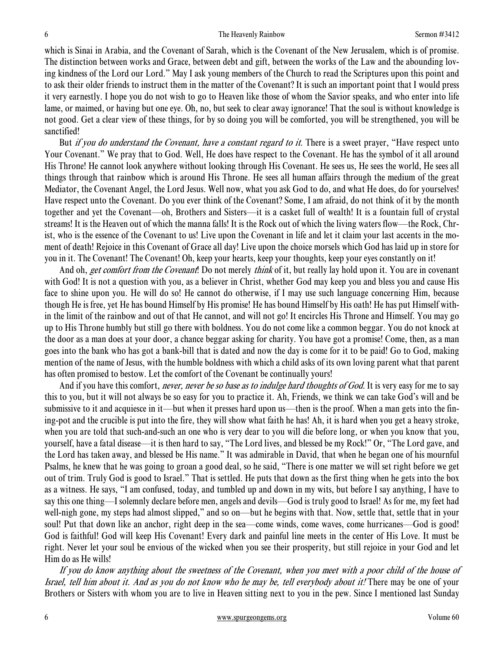which is Sinai in Arabia, and the Covenant of Sarah, which is the Covenant of the New Jerusalem, which is of promise. The distinction between works and Grace, between debt and gift, between the works of the Law and the abounding loving kindness of the Lord our Lord." May I ask young members of the Church to read the Scriptures upon this point and to ask their older friends to instruct them in the matter of the Covenant? It is such an important point that I would press it very earnestly. I hope you do not wish to go to Heaven like those of whom the Savior speaks, and who enter into life lame, or maimed, or having but one eye. Oh, no, but seek to clear away ignorance! That the soul is without knowledge is not good. Get a clear view of these things, for by so doing you will be comforted, you will be strengthened, you will be sanctified!

But *if you do understand the Covenant, have a constant regard to it*. There is a sweet prayer, "Have respect unto Your Covenant." We pray that to God. Well, He does have respect to the Covenant. He has the symbol of it all around His Throne! He cannot look anywhere without looking through His Covenant. He sees us, He sees the world, He sees all things through that rainbow which is around His Throne. He sees all human affairs through the medium of the great Mediator, the Covenant Angel, the Lord Jesus. Well now, what you ask God to do, and what He does, do for yourselves! Have respect unto the Covenant. Do you ever think of the Covenant? Some, I am afraid, do not think of it by the month together and yet the Covenant—oh, Brothers and Sisters—it is a casket full of wealth! It is a fountain full of crystal streams! It is the Heaven out of which the manna falls! It is the Rock out of which the living waters flow—the Rock, Christ, who is the essence of the Covenant to us! Live upon the Covenant in life and let it claim your last accents in the moment of death! Rejoice in this Covenant of Grace all day! Live upon the choice morsels which God has laid up in store for you in it. The Covenant! The Covenant! Oh, keep your hearts, keep your thoughts, keep your eyes constantly on it!

And oh, *get comfort from the Covenant*! Do not merely *think* of it, but really lay hold upon it. You are in covenant with God! It is not a question with you, as a believer in Christ, whether God may keep you and bless you and cause His face to shine upon you. He will do so! He cannot do otherwise, if I may use such language concerning Him, because though He is free, yet He has bound Himself by His promise! He has bound Himself by His oath! He has put Himself within the limit of the rainbow and out of that He cannot, and will not go! It encircles His Throne and Himself. You may go up to His Throne humbly but still go there with boldness. You do not come like a common beggar. You do not knock at the door as a man does at your door, a chance beggar asking for charity. You have got a promise! Come, then, as a man goes into the bank who has got a bank-bill that is dated and now the day is come for it to be paid! Go to God, making mention of the name of Jesus, with the humble boldness with which a child asks of its own loving parent what that parent has often promised to bestow. Let the comfort of the Covenant be continually yours!

And if you have this comfort, *never, never be so base as to indulge hard thoughts of God*. It is very easy for me to say this to you, but it will not always be so easy for you to practice it. Ah, Friends, we think we can take God's will and be submissive to it and acquiesce in it—but when it presses hard upon us—then is the proof. When a man gets into the fining-pot and the crucible is put into the fire, they will show what faith he has! Ah, it is hard when you get a heavy stroke, when you are told that such-and-such an one who is very dear to you will die before long, or when you know that you, yourself, have a fatal disease—it is then hard to say, "The Lord lives, and blessed be my Rock!" Or, "The Lord gave, and the Lord has taken away, and blessed be His name." It was admirable in David, that when he began one of his mournful Psalms, he knew that he was going to groan a good deal, so he said, "There is one matter we will set right before we get out of trim. Truly God is good to Israel." That is settled. He puts that down as the first thing when he gets into the box as a witness. He says, "I am confused, today, and tumbled up and down in my wits, but before I say anything, I have to say this one thing—I solemnly declare before men, angels and devils—God is truly good to Israel! As for me, my feet had well-nigh gone, my steps had almost slipped," and so on—but he begins with that. Now, settle that, settle that in your soul! Put that down like an anchor, right deep in the sea—come winds, come waves, come hurricanes—God is good! God is faithful! God will keep His Covenant! Every dark and painful line meets in the center of His Love. It must be right. Never let your soul be envious of the wicked when you see their prosperity, but still rejoice in your God and let Him do as He wills!

If you do know anything about the sweetness of the Covenant, when you meet with a poor child of the house of Israel, tell him about it. And as you do not know who he may be, tell everybody about it! There may be one of your Brothers or Sisters with whom you are to live in Heaven sitting next to you in the pew. Since I mentioned last Sunday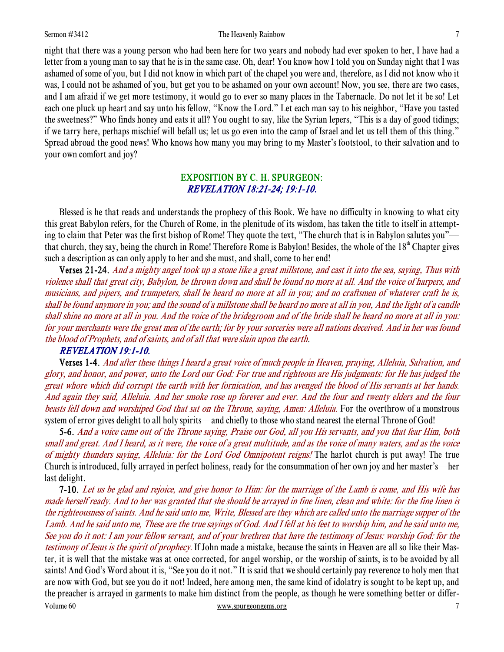#### Sermon #3412 **The Heavenly Rainbow** 7

night that there was a young person who had been here for two years and nobody had ever spoken to her, I have had a letter from a young man to say that he is in the same case. Oh, dear! You know how I told you on Sunday night that I was ashamed of some of you, but I did not know in which part of the chapel you were and, therefore, as I did not know who it was, I could not be ashamed of you, but get you to be ashamed on your own account! Now, you see, there are two cases, and I am afraid if we get more testimony, it would go to ever so many places in the Tabernacle. Do not let it be so! Let each one pluck up heart and say unto his fellow, "Know the Lord." Let each man say to his neighbor, "Have you tasted the sweetness?" Who finds honey and eats it all? You ought to say, like the Syrian lepers, "This is a day of good tidings; if we tarry here, perhaps mischief will befall us; let us go even into the camp of Israel and let us tell them of this thing." Spread abroad the good news! Who knows how many you may bring to my Master's footstool, to their salvation and to your own comfort and joy?

## EXPOSITION BY C. H. SPURGEON: REVELATION 18:21-24; 19:1-10.

 Blessed is he that reads and understands the prophecy of this Book. We have no difficulty in knowing to what city this great Babylon refers, for the Church of Rome, in the plenitude of its wisdom, has taken the title to itself in attempting to claim that Peter was the first bishop of Rome! They quote the text, "The church that is in Babylon salutes you" that church, they say, being the church in Rome! Therefore Rome is Babylon! Besides, the whole of the  $18<sup>th</sup>$  Chapter gives such a description as can only apply to her and she must, and shall, come to her end!

Verses 21-24. And a mighty angel took up a stone like a great millstone, and cast it into the sea, saying, Thus with violence shall that great city, Babylon, be thrown down and shall be found no more at all. And the voice of harpers, and musicians, and pipers, and trumpeters, shall be heard no more at all in you; and no craftsmen of whatever craft he is, shall be found anymore in you; and the sound of a millstone shall be heard no more at all in you, And the light of a candle shall shine no more at all in you. And the voice of the bridegroom and of the bride shall be heard no more at all in you: for your merchants were the great men of the earth; for by your sorceries were all nations deceived. And in her was found the blood of Prophets, and of saints, and of all that were slain upon the earth.

### REVELATION 19:1-10.

Verses 1-4. And after these things I heard a great voice of much people in Heaven, praying, Alleluia, Salvation, and glory, and honor, and power, unto the Lord our God: For true and righteous are His judgments: for He has judged the great whore which did corrupt the earth with her fornication, and has avenged the blood of His servants at her hands. And again they said, Alleluia. And her smoke rose up forever and ever. And the four and twenty elders and the four beasts fell down and worshiped God that sat on the Throne, saying, Amen: Alleluia. For the overthrow of a monstrous system of error gives delight to all holy spirits—and chiefly to those who stand nearest the eternal Throne of God!

5-6. And a voice came out of the Throne saying, Praise our God, all you His servants, and you that fear Him, both small and great. And I heard, as it were, the voice of a great multitude, and as the voice of many waters, and as the voice of mighty thunders saying, Alleluia: for the Lord God Omnipotent reigns! The harlot church is put away! The true Church is introduced, fully arrayed in perfect holiness, ready for the consummation of her own joy and her master's—her last delight.

Volume 60 www.spurgeongems.org 7 7 7-10. Let us be glad and rejoice, and give honor to Him: for the marriage of the Lamb is come, and His wife has made herself ready. And to her was granted that she should be arrayed in fine linen, clean and white: for the fine linen is the righteousness of saints. And he said unto me, Write, Blessed are they which are called unto the marriage supper of the Lamb. And he said unto me, These are the true sayings of God. And I fell at his feet to worship him, and he said unto me, See you do it not: I am your fellow servant, and of your brethren that have the testimony of Jesus: worship God: for the testimony of Jesus is the spirit of prophecy. If John made a mistake, because the saints in Heaven are all so like their Master, it is well that the mistake was at once corrected, for angel worship, or the worship of saints, is to be avoided by all saints! And God's Word about it is, "See you do it not." It is said that we should certainly pay reverence to holy men that are now with God, but see you do it not! Indeed, here among men, the same kind of idolatry is sought to be kept up, and the preacher is arrayed in garments to make him distinct from the people, as though he were something better or differ